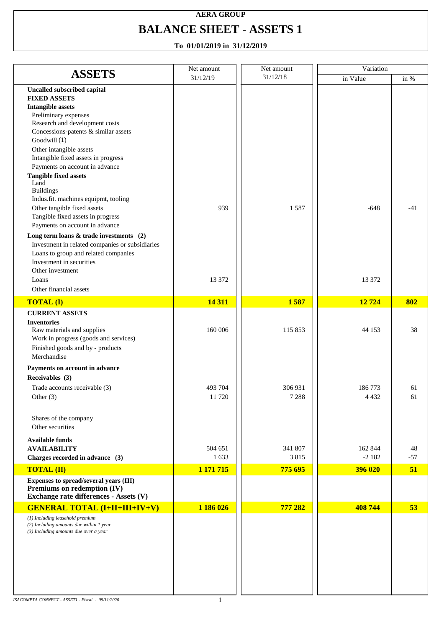### **AERA GROUP BALANCE SHEET - ASSETS 1**

|                                                                                  | Net amount | Net amount | Variation |       |
|----------------------------------------------------------------------------------|------------|------------|-----------|-------|
| <b>ASSETS</b>                                                                    | 31/12/19   | 31/12/18   | in Value  | in %  |
| <b>Uncalled subscribed capital</b>                                               |            |            |           |       |
| <b>FIXED ASSETS</b>                                                              |            |            |           |       |
| <b>Intangible assets</b>                                                         |            |            |           |       |
| Preliminary expenses<br>Research and development costs                           |            |            |           |       |
| Concessions-patents & similar assets                                             |            |            |           |       |
| Goodwill $(1)$                                                                   |            |            |           |       |
| Other intangible assets                                                          |            |            |           |       |
| Intangible fixed assets in progress                                              |            |            |           |       |
| Payments on account in advance                                                   |            |            |           |       |
| <b>Tangible fixed assets</b>                                                     |            |            |           |       |
| Land<br><b>Buildings</b>                                                         |            |            |           |       |
| Indus.fit. machines equipmt, tooling                                             |            |            |           |       |
| Other tangible fixed assets                                                      | 939        | 1587       | $-648$    | $-41$ |
| Tangible fixed assets in progress                                                |            |            |           |       |
| Payments on account in advance                                                   |            |            |           |       |
| Long term loans $&$ trade investments (2)                                        |            |            |           |       |
| Investment in related companies or subsidiaries                                  |            |            |           |       |
| Loans to group and related companies                                             |            |            |           |       |
| Investment in securities<br>Other investment                                     |            |            |           |       |
| Loans                                                                            | 13 372     |            | 13 372    |       |
| Other financial assets                                                           |            |            |           |       |
|                                                                                  |            |            |           |       |
| <b>TOTAL (I)</b>                                                                 | 14 3 11    | 1587       | 12724     | 802   |
| <b>CURRENT ASSETS</b>                                                            |            |            |           |       |
| <b>Inventories</b><br>Raw materials and supplies                                 | 160 006    | 115 853    | 44 153    | 38    |
| Work in progress (goods and services)                                            |            |            |           |       |
| Finished goods and by - products                                                 |            |            |           |       |
| Merchandise                                                                      |            |            |           |       |
| Payments on account in advance                                                   |            |            |           |       |
| Receivables (3)                                                                  |            |            |           |       |
| Trade accounts receivable (3)                                                    | 493 704    | 306 931    | 186773    | 61    |
| Other $(3)$                                                                      | 11720      | 7 2 8 8    | 4 4 3 2   | 61    |
|                                                                                  |            |            |           |       |
| Shares of the company                                                            |            |            |           |       |
| Other securities                                                                 |            |            |           |       |
| <b>Available funds</b>                                                           |            |            |           |       |
| <b>AVAILABILITY</b>                                                              | 504 651    | 341 807    | 162 844   | 48    |
| Charges recorded in advance (3)                                                  | 1633       | 3815       | $-2182$   | $-57$ |
| <b>TOTAL (II)</b>                                                                | 1 171 715  | 775 695    | 396 020   | 51    |
| Expenses to spread/several years (III)                                           |            |            |           |       |
| Premiums on redemption (IV)                                                      |            |            |           |       |
| Exchange rate differences - Assets (V)                                           |            |            |           |       |
| <b>GENERAL TOTAL (I+II+III+IV+V)</b>                                             | 1 186 026  | 777 282    | 408 744   | 53    |
| (1) Including leasehold premium                                                  |            |            |           |       |
| (2) Including amounts due within 1 year<br>(3) Including amounts due over a year |            |            |           |       |
|                                                                                  |            |            |           |       |
|                                                                                  |            |            |           |       |
|                                                                                  |            |            |           |       |
|                                                                                  |            |            |           |       |
|                                                                                  |            |            |           |       |
|                                                                                  |            |            |           |       |
|                                                                                  |            |            |           |       |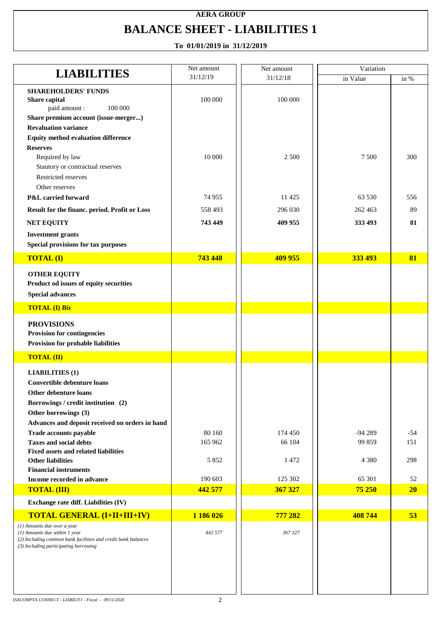# **AERA GROUP BALANCE SHEET - LIABILITIES 1**

| <b>LIABILITIES</b>                                                                                                                                                                               | Net amount | Net amount | Variation |        |
|--------------------------------------------------------------------------------------------------------------------------------------------------------------------------------------------------|------------|------------|-----------|--------|
|                                                                                                                                                                                                  | 31/12/19   | 31/12/18   | in Value  | in $%$ |
| <b>SHAREHOLDERS' FUNDS</b><br>Share capital<br>100 000<br>paid amount :                                                                                                                          | 100 000    | 100 000    |           |        |
| Share premium account (issue-merger)                                                                                                                                                             |            |            |           |        |
| <b>Revaluation variance</b>                                                                                                                                                                      |            |            |           |        |
| <b>Equity method evaluation difference</b>                                                                                                                                                       |            |            |           |        |
| <b>Reserves</b>                                                                                                                                                                                  |            |            |           |        |
| Required by law                                                                                                                                                                                  | 10 000     | 2 500      | 7 500     | 300    |
| Stautory or contractual reserves                                                                                                                                                                 |            |            |           |        |
| Restricted reserves<br>Other reserves                                                                                                                                                            |            |            |           |        |
| P&L carried forward                                                                                                                                                                              | 74 955     | 11 4 25    | 63 530    | 556    |
|                                                                                                                                                                                                  |            |            |           |        |
| Result for the financ. period. Profit or Loss                                                                                                                                                    | 558 493    | 296 030    | 262 463   | 89     |
| <b>NET EQUITY</b>                                                                                                                                                                                | 743 449    | 409 955    | 333 493   | 81     |
| <b>Investment grants</b><br>Special provisions for tax purposes                                                                                                                                  |            |            |           |        |
| <b>TOTAL (I)</b>                                                                                                                                                                                 | 743 448    | 409 955    | 333 493   | 81     |
| <b>OTHER EQUITY</b><br>Product od issues of equity securities<br><b>Special advances</b>                                                                                                         |            |            |           |        |
| <b>TOTAL (I) Bis</b>                                                                                                                                                                             |            |            |           |        |
| <b>PROVISIONS</b><br><b>Provision for contingencies</b>                                                                                                                                          |            |            |           |        |
| Provision for probable liabilities                                                                                                                                                               |            |            |           |        |
| <b>TOTAL (II)</b>                                                                                                                                                                                |            |            |           |        |
| <b>LIABILITIES (1)</b><br>Convertible debenture loans<br>Other debenture loans<br>Borrowings / credit institution (2)<br>Other borrowings (3)<br>Advances and deposit received on orders in hand |            |            |           |        |
| Trade accounts payable                                                                                                                                                                           | 80 160     | 174 450    | $-94289$  | $-54$  |
| <b>Taxes and social debts</b>                                                                                                                                                                    | 165 962    | 66 104     | 99 859    | 151    |
| <b>Fixed assets and related liabilities</b><br><b>Other liabilities</b>                                                                                                                          | 5 8 5 2    | 1472       | 4 3 8 0   | 298    |
| <b>Financial instruments</b><br>Income recorded in advance                                                                                                                                       | 190 603    | 125 302    | 65 301    | 52     |
| <b>TOTAL (III)</b>                                                                                                                                                                               | 442 577    | 367 327    | 75 250    | 20     |
| Exchange rate diff. Liabilities (IV)                                                                                                                                                             |            |            |           |        |
| <b>TOTAL GENERAL (I+II+III+IV)</b>                                                                                                                                                               | 1 186 026  | 777 282    | 408744    | 53     |
| (1) Amounts due over a year<br>(1) Amounts due within 1 year<br>(2) Including common bank facilities and credit bank balances<br>(3) Including participating borrowing                           | 442 577    | 367 327    |           |        |
|                                                                                                                                                                                                  |            |            |           |        |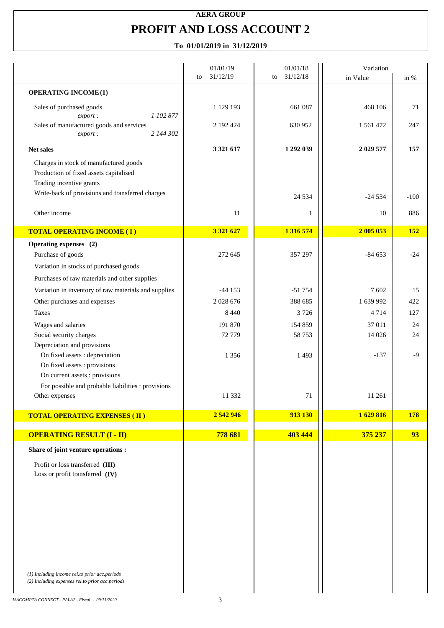### **AERA GROUP PROFIT AND LOSS ACCOUNT 2**

|                                                                                                                                                                  | 01/01/19       | 01/01/18       | Variation |            |
|------------------------------------------------------------------------------------------------------------------------------------------------------------------|----------------|----------------|-----------|------------|
|                                                                                                                                                                  | 31/12/19<br>to | 31/12/18<br>to | in Value  | in %       |
| <b>OPERATING INCOME (1)</b>                                                                                                                                      |                |                |           |            |
| Sales of purchased goods<br>1 102 877<br>export:                                                                                                                 | 1 129 193      | 661 087        | 468 106   | 71         |
| Sales of manufactured goods and services<br>2 144 302<br>export:                                                                                                 | 2 192 424      | 630 952        | 1 561 472 | 247        |
| Net sales                                                                                                                                                        | 3 321 617      | 1 292 039      | 2 029 577 | 157        |
| Charges in stock of manufactured goods<br>Production of fixed assets capitalised<br>Trading incentive grants<br>Write-back of provisions and transferred charges |                | 24 5 34        | $-24534$  | $-100$     |
| Other income                                                                                                                                                     | 11             | 1              | 10        | 886        |
| <b>TOTAL OPERATING INCOME (I)</b>                                                                                                                                | 3 3 2 1 6 2 7  | 1 316 574      | 2 005 053 | <b>152</b> |
| Operating expenses (2)                                                                                                                                           |                |                |           |            |
| Purchase of goods                                                                                                                                                | 272 645        | 357 297        | $-84653$  | $-24$      |
| Variation in stocks of purchased goods                                                                                                                           |                |                |           |            |
| Purchases of raw materials and other supplies                                                                                                                    |                |                |           |            |
| Variation in inventory of raw materials and supplies                                                                                                             | $-44153$       | $-51754$       | 7602      | 15         |
| Other purchases and expenses                                                                                                                                     | 2 0 28 6 76    | 388 685        | 1 639 992 | 422        |
| <b>Taxes</b>                                                                                                                                                     | 8 4 4 0        | 3726           | 4714      | 127        |
| Wages and salaries                                                                                                                                               | 191 870        | 154 859        | 37 011    | 24         |
| Social security charges                                                                                                                                          | 72 779         | 58 753         | 14 0 26   | 24         |
| Depreciation and provisions                                                                                                                                      |                |                |           |            |
| On fixed assets : depreciation                                                                                                                                   | 1356           | 1 4 9 3        | $-137$    | $-9$       |
| On fixed assets : provisions<br>On current assets : provisions                                                                                                   |                |                |           |            |
| For possible and probable liabilities : provisions                                                                                                               |                |                |           |            |
| Other expenses                                                                                                                                                   | 11 332         | 71             | 11 261    |            |
|                                                                                                                                                                  |                |                |           |            |
| <b>TOTAL OPERATING EXPENSES (II)</b>                                                                                                                             | 2 542 946      | 913 130        | 1629816   | <b>178</b> |
|                                                                                                                                                                  |                |                |           |            |
| <b>OPERATING RESULT (I - II)</b>                                                                                                                                 | 778 681        | 403 444        | 375 237   | 93         |
| Share of joint venture operations :                                                                                                                              |                |                |           |            |
|                                                                                                                                                                  |                |                |           |            |
| Profit or loss transferred (III)<br>Loss or profit transferred (IV)                                                                                              |                |                |           |            |
|                                                                                                                                                                  |                |                |           |            |
|                                                                                                                                                                  |                |                |           |            |
|                                                                                                                                                                  |                |                |           |            |
|                                                                                                                                                                  |                |                |           |            |
|                                                                                                                                                                  |                |                |           |            |
|                                                                                                                                                                  |                |                |           |            |
|                                                                                                                                                                  |                |                |           |            |
| (1) Including income rel.to prior acc.periods                                                                                                                    |                |                |           |            |